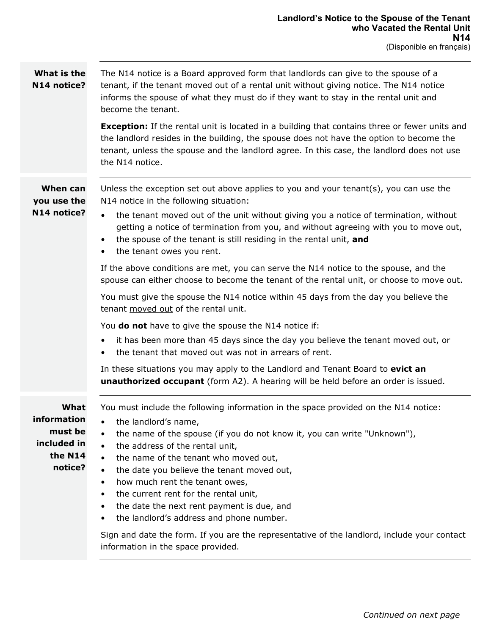| What is the<br>N14 notice?                                          | The N14 notice is a Board approved form that landlords can give to the spouse of a<br>tenant, if the tenant moved out of a rental unit without giving notice. The N14 notice<br>informs the spouse of what they must do if they want to stay in the rental unit and<br>become the tenant.                                                                                                                                                                                                                                                                            |  |  |  |  |
|---------------------------------------------------------------------|----------------------------------------------------------------------------------------------------------------------------------------------------------------------------------------------------------------------------------------------------------------------------------------------------------------------------------------------------------------------------------------------------------------------------------------------------------------------------------------------------------------------------------------------------------------------|--|--|--|--|
|                                                                     | <b>Exception:</b> If the rental unit is located in a building that contains three or fewer units and<br>the landlord resides in the building, the spouse does not have the option to become the<br>tenant, unless the spouse and the landlord agree. In this case, the landlord does not use<br>the N14 notice.                                                                                                                                                                                                                                                      |  |  |  |  |
| When can<br>you use the<br>N14 notice?                              | Unless the exception set out above applies to you and your tenant( $s$ ), you can use the<br>N14 notice in the following situation:<br>the tenant moved out of the unit without giving you a notice of termination, without<br>$\bullet$<br>getting a notice of termination from you, and without agreeing with you to move out,<br>the spouse of the tenant is still residing in the rental unit, and<br>$\bullet$<br>the tenant owes you rent.<br>$\bullet$                                                                                                        |  |  |  |  |
|                                                                     | If the above conditions are met, you can serve the N14 notice to the spouse, and the<br>spouse can either choose to become the tenant of the rental unit, or choose to move out.<br>You must give the spouse the N14 notice within 45 days from the day you believe the                                                                                                                                                                                                                                                                                              |  |  |  |  |
| tenant moved out of the rental unit.                                |                                                                                                                                                                                                                                                                                                                                                                                                                                                                                                                                                                      |  |  |  |  |
|                                                                     | You <b>do not</b> have to give the spouse the N14 notice if:<br>it has been more than 45 days since the day you believe the tenant moved out, or<br>$\bullet$<br>the tenant that moved out was not in arrears of rent.                                                                                                                                                                                                                                                                                                                                               |  |  |  |  |
|                                                                     | In these situations you may apply to the Landlord and Tenant Board to evict an<br><b>unauthorized occupant</b> (form A2). A hearing will be held before an order is issued.                                                                                                                                                                                                                                                                                                                                                                                          |  |  |  |  |
| What<br>information<br>must be<br>included in<br>the N14<br>notice? | You must include the following information in the space provided on the N14 notice:<br>the landlord's name,<br>the name of the spouse (if you do not know it, you can write "Unknown"),<br>$\bullet$<br>the address of the rental unit,<br>the name of the tenant who moved out,<br>$\bullet$<br>the date you believe the tenant moved out,<br>how much rent the tenant owes,<br>$\bullet$<br>the current rent for the rental unit,<br>$\bullet$<br>the date the next rent payment is due, and<br>$\bullet$<br>the landlord's address and phone number.<br>$\bullet$ |  |  |  |  |

Sign and date the form. If you are the representative of the landlord, include your contact information in the space provided.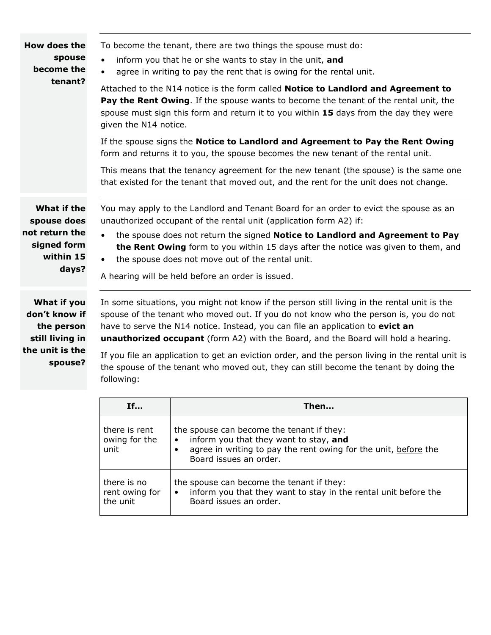| How does the<br>spouse<br>become the<br>tenant?                                   | To become the tenant, there are two things the spouse must do:<br>inform you that he or she wants to stay in the unit, and<br>$\bullet$<br>agree in writing to pay the rent that is owing for the rental unit.<br>$\bullet$<br>Attached to the N14 notice is the form called Notice to Landlord and Agreement to<br><b>Pay the Rent Owing.</b> If the spouse wants to become the tenant of the rental unit, the<br>spouse must sign this form and return it to you within 15 days from the day they were<br>given the N14 notice.<br>If the spouse signs the Notice to Landlord and Agreement to Pay the Rent Owing<br>form and returns it to you, the spouse becomes the new tenant of the rental unit.<br>This means that the tenancy agreement for the new tenant (the spouse) is the same one<br>that existed for the tenant that moved out, and the rent for the unit does not change. |
|-----------------------------------------------------------------------------------|---------------------------------------------------------------------------------------------------------------------------------------------------------------------------------------------------------------------------------------------------------------------------------------------------------------------------------------------------------------------------------------------------------------------------------------------------------------------------------------------------------------------------------------------------------------------------------------------------------------------------------------------------------------------------------------------------------------------------------------------------------------------------------------------------------------------------------------------------------------------------------------------|
| What if the<br>spouse does<br>not return the<br>signed form<br>within 15<br>days? | You may apply to the Landlord and Tenant Board for an order to evict the spouse as an<br>unauthorized occupant of the rental unit (application form A2) if:<br>the spouse does not return the signed Notice to Landlord and Agreement to Pay<br>the Rent Owing form to you within 15 days after the notice was given to them, and<br>the spouse does not move out of the rental unit.<br>$\bullet$<br>A hearing will be held before an order is issued.                                                                                                                                                                                                                                                                                                                                                                                                                                     |
| What if you<br>don't know if<br>the person<br>still living in                     | In some situations, you might not know if the person still living in the rental unit is the<br>spouse of the tenant who moved out. If you do not know who the person is, you do not<br>have to serve the N14 notice. Instead, you can file an application to evict an<br>unauthorized occupant (form A2) with the Board, and the Board will hold a hearing.                                                                                                                                                                                                                                                                                                                                                                                                                                                                                                                                 |

**the unit is the** 

**spouse?**

If you file an application to get an eviction order, and the person living in the rental unit is the spouse of the tenant who moved out, they can still become the tenant by doing the following:

| If                                        | Then                                                                                                                                                                                          |
|-------------------------------------------|-----------------------------------------------------------------------------------------------------------------------------------------------------------------------------------------------|
| there is rent<br>owing for the<br>unit    | the spouse can become the tenant if they:<br>inform you that they want to stay, and<br>$\bullet$<br>agree in writing to pay the rent owing for the unit, before the<br>Board issues an order. |
| there is no<br>rent owing for<br>the unit | the spouse can become the tenant if they:<br>inform you that they want to stay in the rental unit before the<br>٠<br>Board issues an order.                                                   |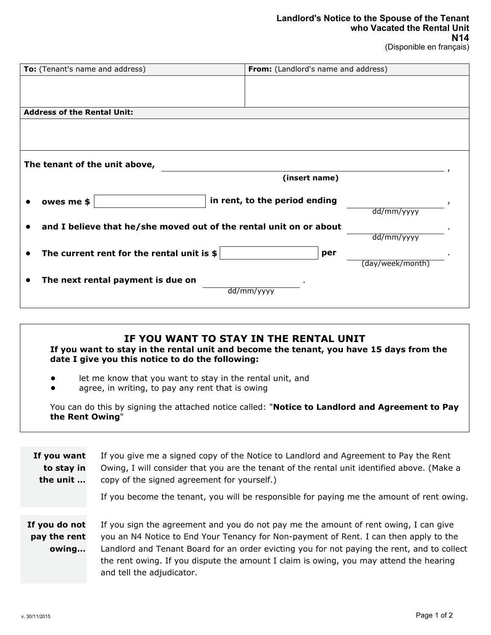## **Landlord's Notice to the Spouse of the Tenant who Vacated the Rental Unit N14**

(Disponible en français)

| To: (Tenant's name and address)                                    | From: (Landlord's name and address) |  |  |  |
|--------------------------------------------------------------------|-------------------------------------|--|--|--|
|                                                                    |                                     |  |  |  |
|                                                                    |                                     |  |  |  |
| <b>Address of the Rental Unit:</b>                                 |                                     |  |  |  |
|                                                                    |                                     |  |  |  |
|                                                                    |                                     |  |  |  |
|                                                                    |                                     |  |  |  |
| The tenant of the unit above,                                      |                                     |  |  |  |
|                                                                    | (insert name)                       |  |  |  |
|                                                                    |                                     |  |  |  |
| owes me \$                                                         | in rent, to the period ending       |  |  |  |
|                                                                    | dd/mm/yyyy                          |  |  |  |
| and I believe that he/she moved out of the rental unit on or about |                                     |  |  |  |
|                                                                    | dd/mm/yyyy                          |  |  |  |
| The current rent for the rental unit is $$$                        | per                                 |  |  |  |
|                                                                    | (day/week/month)                    |  |  |  |
| The next rental payment is due on                                  |                                     |  |  |  |
|                                                                    | dd/mm/yyyy                          |  |  |  |
|                                                                    |                                     |  |  |  |

## **IF YOU WANT TO STAY IN THE RENTAL UNIT**

**If you want to stay in the rental unit and become the tenant, you have 15 days from the date I give you this notice to do the following:** 

- **•** let me know that you want to stay in the rental unit, and
- **•** agree, in writing, to pay any rent that is owing

You can do this by signing the attached notice called: "**Notice to Landlord and Agreement to Pay the Rent Owing**"

| If you want<br>to stay in<br>the unit  | If you give me a signed copy of the Notice to Landlord and Agreement to Pay the Rent<br>Owing, I will consider that you are the tenant of the rental unit identified above. (Make a<br>copy of the signed agreement for yourself.)<br>If you become the tenant, you will be responsible for paying me the amount of rent owing.                                                                     |
|----------------------------------------|-----------------------------------------------------------------------------------------------------------------------------------------------------------------------------------------------------------------------------------------------------------------------------------------------------------------------------------------------------------------------------------------------------|
| If you do not<br>pay the rent<br>owing | If you sign the agreement and you do not pay me the amount of rent owing, I can give<br>you an N4 Notice to End Your Tenancy for Non-payment of Rent. I can then apply to the<br>Landlord and Tenant Board for an order evicting you for not paying the rent, and to collect<br>the rent owing. If you dispute the amount I claim is owing, you may attend the hearing<br>and tell the adjudicator. |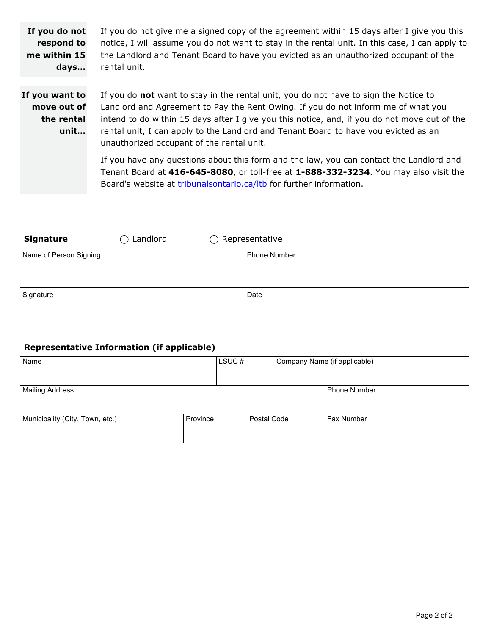**If you do not respond to me within 15 days…** If you do not give me a signed copy of the agreement within 15 days after I give you this notice, I will assume you do not want to stay in the rental unit. In this case, I can apply to the Landlord and Tenant Board to have you evicted as an unauthorized occupant of the rental unit.

**If you want to move out of the rental unit…**

If you do **not** want to stay in the rental unit, you do not have to sign the Notice to Landlord and Agreement to Pay the Rent Owing. If you do not inform me of what you intend to do within 15 days after I give you this notice, and, if you do not move out of the rental unit, I can apply to the Landlord and Tenant Board to have you evicted as an unauthorized occupant of the rental unit.

If you have any questions about this form and the law, you can contact the Landlord and Tenant Board at **416-645-8080**, or toll-free at **1-888-332-3234**. You may also visit the Board's website at *[tribunalsontario.ca/ltb](https://tribunalsontario.ca/ltb/)* for further information.

| <b>Signature</b>       | Landlord<br>$\rightarrow$ | $\bigcirc$ Representative |              |
|------------------------|---------------------------|---------------------------|--------------|
| Name of Person Signing |                           |                           | Phone Number |
| Signature              |                           |                           | Date         |

## **Representative Information (if applicable)**

| Name                            |          | LSUC# |             | Company Name (if applicable) |
|---------------------------------|----------|-------|-------------|------------------------------|
| Mailing Address                 |          |       |             | Phone Number                 |
| Municipality (City, Town, etc.) | Province |       | Postal Code | <b>Fax Number</b>            |